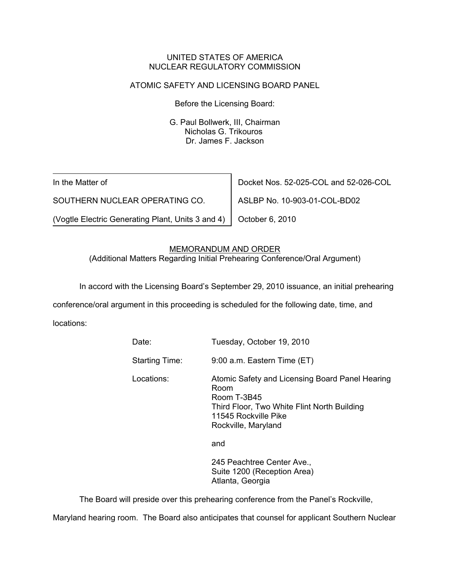#### UNITED STATES OF AMERICA NUCLEAR REGULATORY COMMISSION

# ATOMIC SAFETY AND LICENSING BOARD PANEL

Before the Licensing Board:

G. Paul Bollwerk, III, Chairman Nicholas G. Trikouros Dr. James F. Jackson

In the Matter of

SOUTHERN NUCLEAR OPERATING CO.

(Vogtle Electric Generating Plant, Units 3 and 4)

Docket Nos. 52-025-COL and 52-026-COL

ASLBP No. 10-903-01-COL-BD02

October 6, 2010

## MEMORANDUM AND ORDER

(Additional Matters Regarding Initial Prehearing Conference/Oral Argument)

In accord with the Licensing Board's September 29, 2010 issuance, an initial prehearing

conference/oral argument in this proceeding is scheduled for the following date, time, and

locations:

| Tuesday, October 19, 2010                                                                                                                                            |
|----------------------------------------------------------------------------------------------------------------------------------------------------------------------|
| 9:00 a.m. Eastern Time (ET)                                                                                                                                          |
| Atomic Safety and Licensing Board Panel Hearing<br>Room<br>Room T-3B45<br>Third Floor, Two White Flint North Building<br>11545 Rockville Pike<br>Rockville, Maryland |
| and                                                                                                                                                                  |
| 245 Peachtree Center Ave.,<br>Suite 1200 (Reception Area)<br>Atlanta, Georgia                                                                                        |
|                                                                                                                                                                      |

The Board will preside over this prehearing conference from the Panel's Rockville,

Maryland hearing room. The Board also anticipates that counsel for applicant Southern Nuclear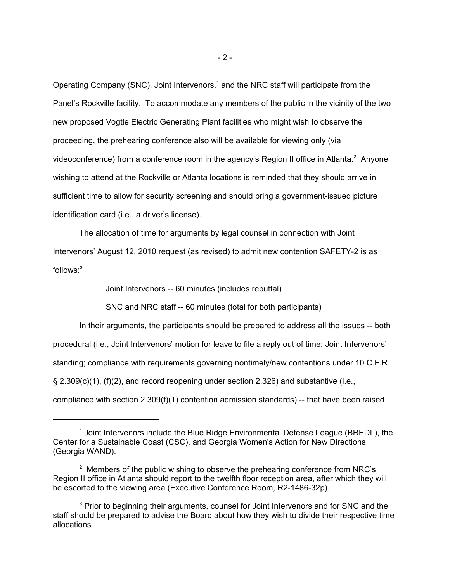Operating Company (SNC), Joint Intervenors,<sup>1</sup> and the NRC staff will participate from the Panel's Rockville facility. To accommodate any members of the public in the vicinity of the two new proposed Vogtle Electric Generating Plant facilities who might wish to observe the proceeding, the prehearing conference also will be available for viewing only (via videoconference) from a conference room in the agency's Region II office in Atlanta.<sup>2</sup> Anyone wishing to attend at the Rockville or Atlanta locations is reminded that they should arrive in sufficient time to allow for security screening and should bring a government-issued picture identification card (i.e., a driver's license).

The allocation of time for arguments by legal counsel in connection with Joint Intervenors' August 12, 2010 request (as revised) to admit new contention SAFETY-2 is as follows:3

Joint Intervenors -- 60 minutes (includes rebuttal)

SNC and NRC staff -- 60 minutes (total for both participants)

In their arguments, the participants should be prepared to address all the issues -- both procedural (i.e., Joint Intervenors' motion for leave to file a reply out of time; Joint Intervenors' standing; compliance with requirements governing nontimely/new contentions under 10 C.F.R.  $\S$  2.309(c)(1), (f)(2), and record reopening under section 2.326) and substantive (i.e., compliance with section 2.309(f)(1) contention admission standards) -- that have been raised

<sup>&</sup>lt;sup>1</sup> Joint Intervenors include the Blue Ridge Environmental Defense League (BREDL), the Center for a Sustainable Coast (CSC), and Georgia Women's Action for New Directions (Georgia WAND).

 $2$  Members of the public wishing to observe the prehearing conference from NRC's Region II office in Atlanta should report to the twelfth floor reception area, after which they will be escorted to the viewing area (Executive Conference Room, R2-1486-32p).

<sup>&</sup>lt;sup>3</sup> Prior to beginning their arguments, counsel for Joint Intervenors and for SNC and the staff should be prepared to advise the Board about how they wish to divide their respective time allocations.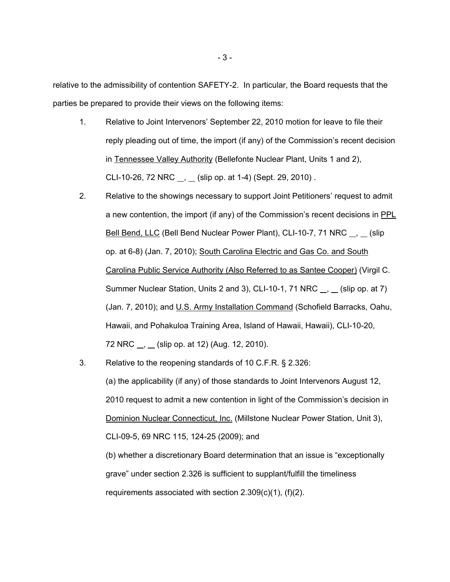relative to the admissibility of contention SAFETY-2. In particular, the Board requests that the parties be prepared to provide their views on the following items:

- 1. Relative to Joint Intervenors' September 22, 2010 motion for leave to file their reply pleading out of time, the import (if any) of the Commission's recent decision in Tennessee Valley Authority (Bellefonte Nuclear Plant, Units 1 and 2), CLI-10-26, 72 NRC  $\ldots$ ,  $\ldots$  (slip op. at 1-4) (Sept. 29, 2010).
- 2. Relative to the showings necessary to support Joint Petitioners' request to admit a new contention, the import (if any) of the Commission's recent decisions in PPL Bell Bend, LLC (Bell Bend Nuclear Power Plant), CLI-10-7, 71 NRC <sub>,</sub> (slip op. at 6-8) (Jan. 7, 2010); South Carolina Electric and Gas Co. and South Carolina Public Service Authority (Also Referred to as Santee Cooper) (Virgil C. Summer Nuclear Station, Units 2 and 3), CLI-10-1, 71 NRC  $\overline{\phantom{a}}$ ,  $\overline{\phantom{a}}$  (slip op. at 7) (Jan. 7, 2010); and U.S. Army Installation Command (Schofield Barracks, Oahu, Hawaii, and Pohakuloa Training Area, Island of Hawaii, Hawaii), CLI-10-20, 72 NRC , (slip op. at 12) (Aug. 12, 2010).
- 3. Relative to the reopening standards of 10 C.F.R. § 2.326: (a) the applicability (if any) of those standards to Joint Intervenors August 12, 2010 request to admit a new contention in light of the Commission's decision in Dominion Nuclear Connecticut, Inc. (Millstone Nuclear Power Station, Unit 3), CLI-09-5, 69 NRC 115, 124-25 (2009); and (b) whether a discretionary Board determination that an issue is "exceptionally grave" under section 2.326 is sufficient to supplant/fulfill the timeliness requirements associated with section 2.309(c)(1), (f)(2).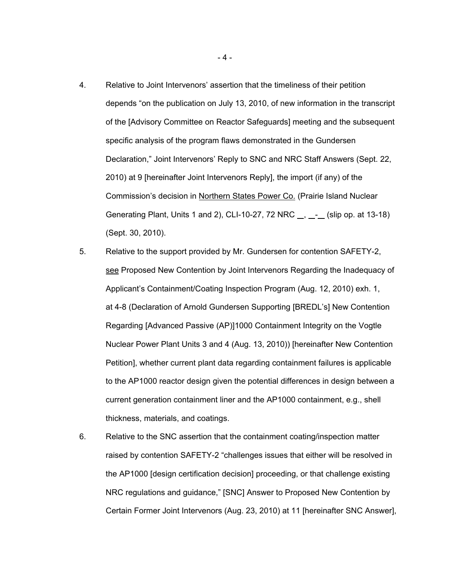- 4. Relative to Joint Intervenors' assertion that the timeliness of their petition depends "on the publication on July 13, 2010, of new information in the transcript of the [Advisory Committee on Reactor Safeguards] meeting and the subsequent specific analysis of the program flaws demonstrated in the Gundersen Declaration," Joint Intervenors' Reply to SNC and NRC Staff Answers (Sept. 22, 2010) at 9 [hereinafter Joint Intervenors Reply], the import (if any) of the Commission's decision in Northern States Power Co. (Prairie Island Nuclear Generating Plant, Units 1 and 2), CLI-10-27, 72 NRC \_\_, \_\_- (slip op. at 13-18) (Sept. 30, 2010).
- 5. Relative to the support provided by Mr. Gundersen for contention SAFETY-2, see Proposed New Contention by Joint Intervenors Regarding the Inadequacy of Applicant's Containment/Coating Inspection Program (Aug. 12, 2010) exh. 1, at 4-8 (Declaration of Arnold Gundersen Supporting [BREDL's] New Contention Regarding [Advanced Passive (AP)]1000 Containment Integrity on the Vogtle Nuclear Power Plant Units 3 and 4 (Aug. 13, 2010)) [hereinafter New Contention Petition], whether current plant data regarding containment failures is applicable to the AP1000 reactor design given the potential differences in design between a current generation containment liner and the AP1000 containment, e.g., shell thickness, materials, and coatings.
- 6. Relative to the SNC assertion that the containment coating/inspection matter raised by contention SAFETY-2 "challenges issues that either will be resolved in the AP1000 [design certification decision] proceeding, or that challenge existing NRC regulations and guidance," [SNC] Answer to Proposed New Contention by Certain Former Joint Intervenors (Aug. 23, 2010) at 11 [hereinafter SNC Answer],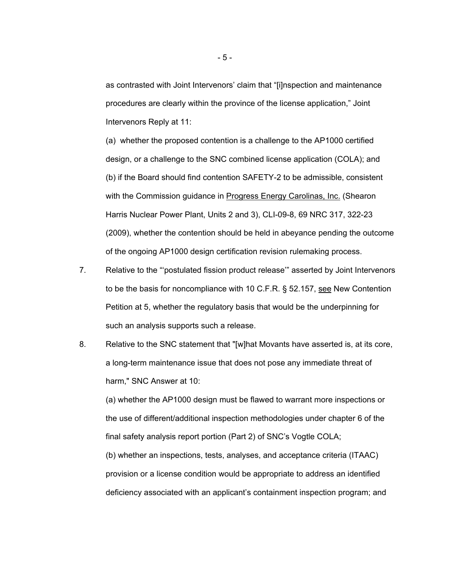as contrasted with Joint Intervenors' claim that "[i]nspection and maintenance procedures are clearly within the province of the license application," Joint Intervenors Reply at 11:

(a) whether the proposed contention is a challenge to the AP1000 certified design, or a challenge to the SNC combined license application (COLA); and (b) if the Board should find contention SAFETY-2 to be admissible, consistent with the Commission guidance in Progress Energy Carolinas, Inc. (Shearon Harris Nuclear Power Plant, Units 2 and 3), CLI-09-8, 69 NRC 317, 322-23 (2009), whether the contention should be held in abeyance pending the outcome of the ongoing AP1000 design certification revision rulemaking process.

- 7. Relative to the "'postulated fission product release'" asserted by Joint Intervenors to be the basis for noncompliance with 10 C.F.R. § 52.157, see New Contention Petition at 5, whether the regulatory basis that would be the underpinning for such an analysis supports such a release.
- 8. Relative to the SNC statement that "[w]hat Movants have asserted is, at its core, a long-term maintenance issue that does not pose any immediate threat of harm," SNC Answer at 10:

(a) whether the AP1000 design must be flawed to warrant more inspections or the use of different/additional inspection methodologies under chapter 6 of the final safety analysis report portion (Part 2) of SNC's Vogtle COLA; (b) whether an inspections, tests, analyses, and acceptance criteria (ITAAC)

provision or a license condition would be appropriate to address an identified deficiency associated with an applicant's containment inspection program; and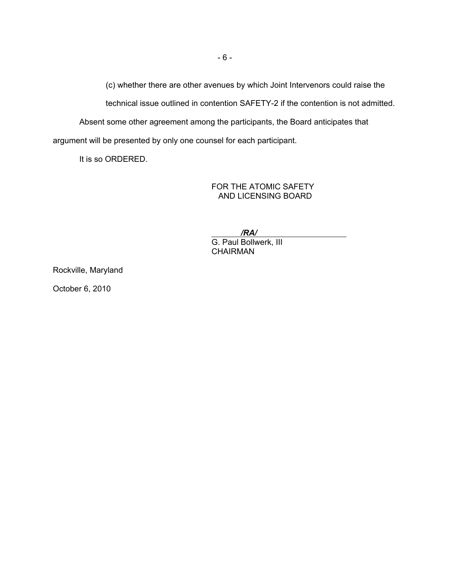(c) whether there are other avenues by which Joint Intervenors could raise the

technical issue outlined in contention SAFETY-2 if the contention is not admitted.

Absent some other agreement among the participants, the Board anticipates that

argument will be presented by only one counsel for each participant.

It is so ORDERED.

FOR THE ATOMIC SAFETY AND LICENSING BOARD

 */RA/*  G. Paul Bollwerk, III **CHAIRMAN** 

Rockville, Maryland

October 6, 2010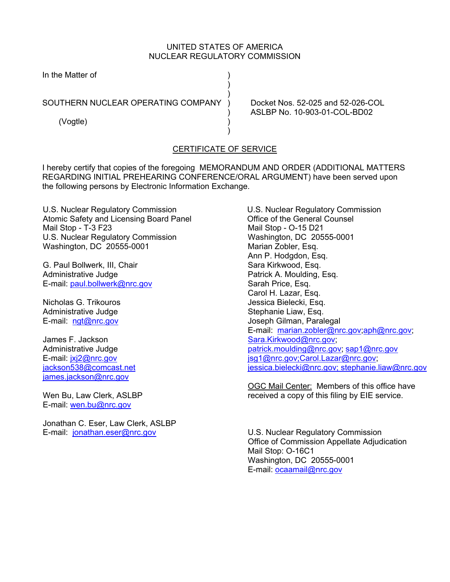# UNITED STATES OF AMERICA NUCLEAR REGULATORY COMMISSION

| In the Matter of                   |  |
|------------------------------------|--|
|                                    |  |
| SOUTHERN NUCLEAR OPERATING COMPANY |  |
| (Vogtle)                           |  |
|                                    |  |

Docket Nos. 52-025 and 52-026-COL ) ASLBP No. 10-903-01-COL-BD02

## CERTIFICATE OF SERVICE

I hereby certify that copies of the foregoing MEMORANDUM AND ORDER (ADDITIONAL MATTERS REGARDING INITIAL PREHEARING CONFERENCE/ORAL ARGUMENT) have been served upon the following persons by Electronic Information Exchange.

U.S. Nuclear Regulatory Commission Atomic Safety and Licensing Board Panel Mail Stop - T-3 F23 U.S. Nuclear Regulatory Commission Washington, DC 20555-0001

G. Paul Bollwerk, III, Chair Administrative Judge E-mail: paul.bollwerk@nrc.gov

Nicholas G. Trikouros Administrative Judge E-mail: ngt@nrc.gov

James F. Jackson Administrative Judge E-mail: jxj2@nrc.gov jackson538@comcast.net james.jackson@nrc.gov

Wen Bu, Law Clerk, ASLBP E-mail: wen.bu@nrc.gov

Jonathan C. Eser, Law Clerk, ASLBP E-mail: jonathan.eser@nrc.gov

U.S. Nuclear Regulatory Commission Office of the General Counsel Mail Stop - O-15 D21 Washington, DC 20555-0001 Marian Zobler, Esq. Ann P. Hodgdon, Esq. Sara Kirkwood, Esq. Patrick A. Moulding, Esq. Sarah Price, Esq. Carol H. Lazar, Esq. Jessica Bielecki, Esq. Stephanie Liaw, Esq. Joseph Gilman, Paralegal E-mail: marian.zobler@nrc.gov;aph@nrc.gov; Sara.Kirkwood@nrc.gov; patrick.moulding@nrc.gov; sap1@nrc.gov jsg1@nrc.gov;Carol.Lazar@nrc.gov; jessica.bielecki@nrc.gov; stephanie.liaw@nrc.gov

OGC Mail Center: Members of this office have received a copy of this filing by EIE service.

U.S. Nuclear Regulatory Commission Office of Commission Appellate Adjudication Mail Stop: O-16C1 Washington, DC 20555-0001 E-mail: ocaamail@nrc.gov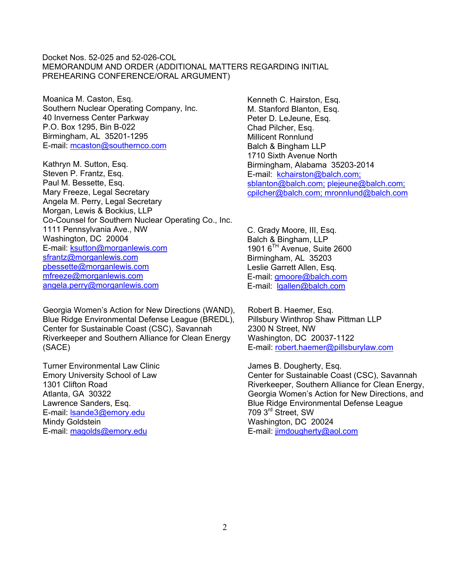#### Docket Nos. 52-025 and 52-026-COL MEMORANDUM AND ORDER (ADDITIONAL MATTERS REGARDING INITIAL PREHEARING CONFERENCE/ORAL ARGUMENT)

Moanica M. Caston, Esq. Southern Nuclear Operating Company, Inc. 40 Inverness Center Parkway P.O. Box 1295, Bin B-022 Birmingham, AL 35201-1295 E-mail: mcaston@southernco.com

Kathryn M. Sutton, Esq. Steven P. Frantz, Esq. Paul M. Bessette, Esq. Mary Freeze, Legal Secretary Angela M. Perry, Legal Secretary Morgan, Lewis & Bockius, LLP Co-Counsel for Southern Nuclear Operating Co., Inc. 1111 Pennsylvania Ave., NW Washington, DC 20004 E-mail: ksutton@morganlewis.com sfrantz@morganlewis.com pbessette@morganlewis.com mfreeze@morganlewis.com angela.perry@morganlewis.com

Georgia Women's Action for New Directions (WAND), Blue Ridge Environmental Defense League (BREDL), Center for Sustainable Coast (CSC), Savannah Riverkeeper and Southern Alliance for Clean Energy (SACE)

Turner Environmental Law Clinic Emory University School of Law 1301 Clifton Road Atlanta, GA 30322 Lawrence Sanders, Esq. E-mail: lsande3@emory.edu Mindy Goldstein E-mail: magolds@emory.edu

Kenneth C. Hairston, Esq. M. Stanford Blanton, Esq. Peter D. LeJeune, Esq. Chad Pilcher, Esq. Millicent Ronnlund Balch & Bingham LLP 1710 Sixth Avenue North Birmingham, Alabama 35203-2014 E-mail: kchairston@balch.com; sblanton@balch.com; plejeune@balch.com; cpilcher@balch.com; mronnlund@balch.com

C. Grady Moore, III, Esq. Balch & Bingham, LLP 1901 6TH Avenue, Suite 2600 Birmingham, AL 35203 Leslie Garrett Allen, Esq. E-mail: gmoore@balch.com E-mail: lgallen@balch.com

Robert B. Haemer, Esq. Pillsbury Winthrop Shaw Pittman LLP 2300 N Street, NW Washington, DC 20037-1122 E-mail: robert.haemer@pillsburylaw.com

James B. Dougherty, Esq. Center for Sustainable Coast (CSC), Savannah Riverkeeper, Southern Alliance for Clean Energy, Georgia Women's Action for New Directions, and Blue Ridge Environmental Defense League 709 3rd Street, SW Washington, DC 20024 E-mail: jimdougherty@aol.com